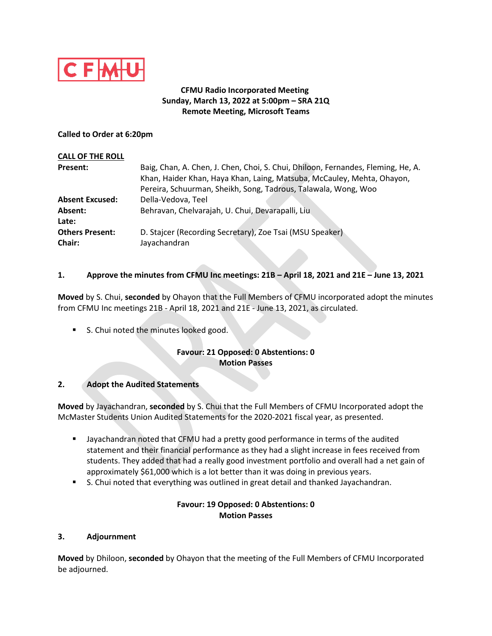

## **CFMU Radio Incorporated Meeting Sunday, March 13, 2022 at 5:00pm – SRA 21Q Remote Meeting, Microsoft Teams**

#### **Called to Order at 6:20pm**

| <b>CALL OF THE ROLL</b>          |                                                                                                                                                            |
|----------------------------------|------------------------------------------------------------------------------------------------------------------------------------------------------------|
| Present:                         | Baig, Chan, A. Chen, J. Chen, Choi, S. Chui, Dhiloon, Fernandes, Fleming, He, A.<br>Khan, Haider Khan, Haya Khan, Laing, Matsuba, McCauley, Mehta, Ohayon, |
|                                  | Pereira, Schuurman, Sheikh, Song, Tadrous, Talawala, Wong, Woo                                                                                             |
| <b>Absent Excused:</b>           | Della-Vedova, Teel                                                                                                                                         |
| Absent:                          | Behravan, Chelvarajah, U. Chui, Devarapalli, Liu                                                                                                           |
| Late:                            |                                                                                                                                                            |
| <b>Others Present:</b><br>Chair: | D. Stajcer (Recording Secretary), Zoe Tsai (MSU Speaker)<br>Jayachandran                                                                                   |

## **1. Approve the minutes from CFMU Inc meetings: 21B – April 18, 2021 and 21E – June 13, 2021**

**Moved** by S. Chui, **seconded** by Ohayon that the Full Members of CFMU incorporated adopt the minutes from CFMU Inc meetings 21B - April 18, 2021 and 21E - June 13, 2021, as circulated.

S. Chui noted the minutes looked good.

## **Favour: 21 Opposed: 0 Abstentions: 0 Motion Passes**

#### **2. Adopt the Audited Statements**

**Moved** by Jayachandran, **seconded** by S. Chui that the Full Members of CFMU Incorporated adopt the McMaster Students Union Audited Statements for the 2020-2021 fiscal year, as presented.

- Jayachandran noted that CFMU had a pretty good performance in terms of the audited statement and their financial performance as they had a slight increase in fees received from students. They added that had a really good investment portfolio and overall had a net gain of approximately \$61,000 which is a lot better than it was doing in previous years.
- **S.** Chui noted that everything was outlined in great detail and thanked Jayachandran.

### **Favour: 19 Opposed: 0 Abstentions: 0 Motion Passes**

#### **3. Adjournment**

**Moved** by Dhiloon, **seconded** by Ohayon that the meeting of the Full Members of CFMU Incorporated be adjourned.